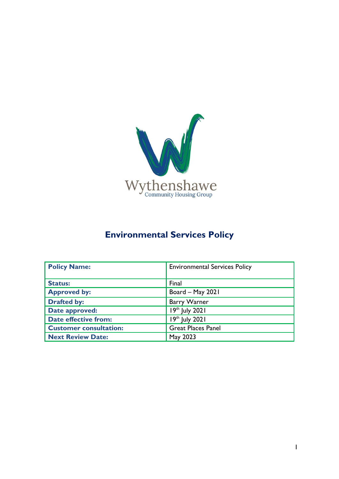

# **Environmental Services Policy**

| <b>Policy Name:</b>           | <b>Environmental Services Policy</b> |
|-------------------------------|--------------------------------------|
|                               |                                      |
| <b>Status:</b>                | Final                                |
| <b>Approved by:</b>           | Board - May 2021                     |
| <b>Drafted by:</b>            | <b>Barry Warner</b>                  |
| Date approved:                | 19th July 2021                       |
| <b>Date effective from:</b>   | $19th$ July 2021                     |
| <b>Customer consultation:</b> | <b>Great Places Panel</b>            |
| <b>Next Review Date:</b>      | May 2023                             |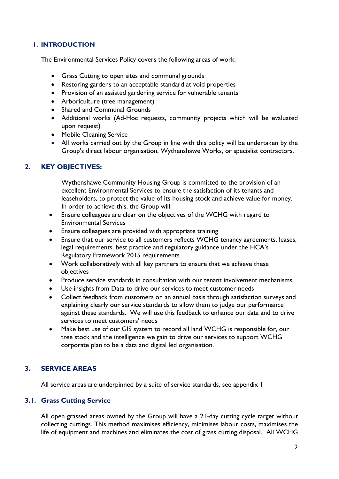#### **1. INTRODUCTION**

The Environmental Services Policy covers the following areas of work:

- Grass Cutting to open sites and communal grounds
- Restoring gardens to an acceptable standard at void properties
- Provision of an assisted gardening service for vulnerable tenants
- Arboriculture (tree management)
- Shared and Communal Grounds
- Additional works (Ad-Hoc requests, community projects which will be evaluated upon request)
- Mobile Cleaning Service
- All works carried out by the Group in line with this policy will be undertaken by the Group's direct labour organisation, Wythenshawe Works, or specialist contractors.

# **2. KEY OBJECTIVES:**

Wythenshawe Community Housing Group is committed to the provision of an excellent Environmental Services to ensure the satisfaction of its tenants and leaseholders, to protect the value of its housing stock and achieve value for money. In order to achieve this, the Group will:

- Ensure colleagues are clear on the objectives of the WCHG with regard to Environmental Services
- Ensure colleagues are provided with appropriate training
- Ensure that our service to all customers reflects WCHG tenancy agreements, leases, legal requirements, best practice and regulatory guidance under the HCA's Regulatory Framework 2015 requirements
- Work collaboratively with all key partners to ensure that we achieve these objectives
- Produce service standards in consultation with our tenant involvement mechanisms
- Use insights from Data to drive our services to meet customer needs
- Collect feedback from customers on an annual basis through satisfaction surveys and explaining clearly our service standards to allow them to judge our performance against these standards. We will use this feedback to enhance our data and to drive services to meet customers' needs
- Make best use of our GIS system to record all land WCHG is responsible for, our tree stock and the intelligence we gain to drive our services to support WCHG corporate plan to be a data and digital led organisation.

# **3. SERVICE AREAS**

All service areas are underpinned by a suite of service standards, see appendix 1

## **3.1. Grass Cutting Service**

All open grassed areas owned by the Group will have a 21-day cutting cycle target without collecting cuttings. This method maximises efficiency, minimises labour costs, maximises the life of equipment and machines and eliminates the cost of grass cutting disposal. All WCHG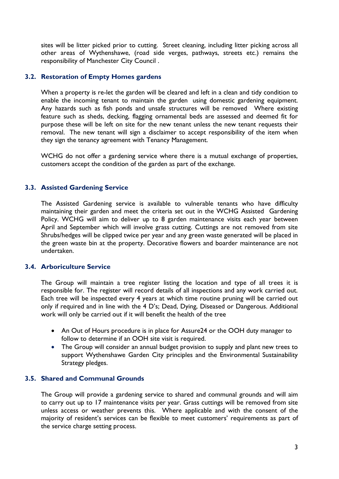sites will be litter picked prior to cutting. Street cleaning, including litter picking across all other areas of Wythenshawe, (road side verges, pathways, streets etc.) remains the responsibility of Manchester City Council .

#### **3.2. Restoration of Empty Homes gardens**

When a property is re-let the garden will be cleared and left in a clean and tidy condition to enable the incoming tenant to maintain the garden using domestic gardening equipment. Any hazards such as fish ponds and unsafe structures will be removed Where existing feature such as sheds, decking, flagging ornamental beds are assessed and deemed fit for purpose these will be left on site for the new tenant unless the new tenant requests their removal. The new tenant will sign a disclaimer to accept responsibility of the item when they sign the tenancy agreement with Tenancy Management.

WCHG do not offer a gardening service where there is a mutual exchange of properties, customers accept the condition of the garden as part of the exchange.

#### **3.3. Assisted Gardening Service**

The Assisted Gardening service is available to vulnerable tenants who have difficulty maintaining their garden and meet the criteria set out in the WCHG Assisted Gardening Policy. WCHG will aim to deliver up to 8 garden maintenance visits each year between April and September which will involve grass cutting. Cuttings are not removed from site Shrubs/hedges will be clipped twice per year and any green waste generated will be placed in the green waste bin at the property. Decorative flowers and boarder maintenance are not undertaken.

#### **3.4. Arboriculture Service**

The Group will maintain a tree register listing the location and type of all trees it is responsible for. The register will record details of all inspections and any work carried out. Each tree will be inspected every 4 years at which time routine pruning will be carried out only if required and in line with the 4 D's; Dead, Dying, Diseased or Dangerous. Additional work will only be carried out if it will benefit the health of the tree

- An Out of Hours procedure is in place for Assure24 or the OOH duty manager to follow to determine if an OOH site visit is required.
- The Group will consider an annual budget provision to supply and plant new trees to support Wythenshawe Garden City principles and the Environmental Sustainability Strategy pledges.

## **3.5. Shared and Communal Grounds**

The Group will provide a gardening service to shared and communal grounds and will aim to carry out up to 17 maintenance visits per year. Grass cuttings will be removed from site unless access or weather prevents this. Where applicable and with the consent of the majority of resident's services can be flexible to meet customers' requirements as part of the service charge setting process.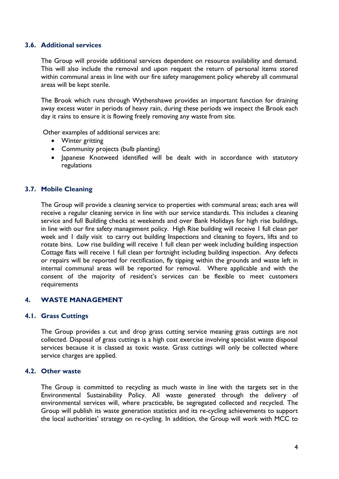#### **3.6. Additional services**

The Group will provide additional services dependent on resource availability and demand. This will also include the removal and upon request the return of personal items stored within communal areas in line with our fire safety management policy whereby all communal areas will be kept sterile.

The Brook which runs through Wythenshawe provides an important function for draining away excess water in periods of heavy rain, during these periods we inspect the Brook each day it rains to ensure it is flowing freely removing any waste from site.

Other examples of additional services are:

- Winter gritting
- Community projects (bulb planting)
- Japanese Knotweed identified will be dealt with in accordance with statutory regulations

## **3.7. Mobile Cleaning**

The Group will provide a cleaning service to properties with communal areas; each area will receive a regular cleaning service in line with our service standards. This includes a cleaning service and full Building checks at weekends and over Bank Holidays for high rise buildings, in line with our fire safety management policy. High Rise building will receive 1 full clean per week and 1 daily visit to carry out building Inspections and cleaning to foyers, lifts and to rotate bins. Low rise building will receive 1 full clean per week including building inspection Cottage flats will receive 1 full clean per fortnight including building inspection. Any defects or repairs will be reported for rectification, fly tipping within the grounds and waste left in internal communal areas will be reported for removal. Where applicable and with the consent of the majority of resident's services can be flexible to meet customers requirements

## **4. WASTE MANAGEMENT**

#### **4.1. Grass Cuttings**

The Group provides a cut and drop grass cutting service meaning grass cuttings are not collected. Disposal of grass cuttings is a high cost exercise involving specialist waste disposal services because it is classed as toxic waste. Grass cuttings will only be collected where service charges are applied.

#### **4.2. Other waste**

The Group is committed to recycling as much waste in line with the targets set in the Environmental Sustainability Policy. All waste generated through the delivery of environmental services will, where practicable, be segregated collected and recycled. The Group will publish its waste generation statistics and its re-cycling achievements to support the local authorities' strategy on re-cycling. In addition, the Group will work with MCC to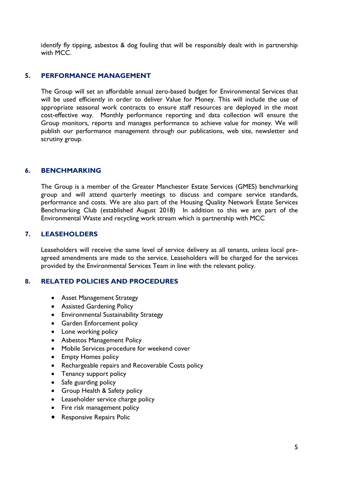identify fly tipping, asbestos & dog fouling that will be responsibly dealt with in partnership with MCC.

## **5. PERFORMANCE MANAGEMENT**

The Group will set an affordable annual zero-based budget for Environmental Services that will be used efficiently in order to deliver Value for Money. This will include the use of appropriate seasonal work contracts to ensure staff resources are deployed in the most cost-effective way. Monthly performance reporting and data collection will ensure the Group monitors, reports and manages performance to achieve value for money. We will publish our performance management through our publications, web site, newsletter and scrutiny group.

#### **6. BENCHMARKING**

The Group is a member of the Greater Manchester Estate Services (GMES) benchmarking group and will attend quarterly meetings to discuss and compare service standards, performance and costs. We are also part of the Housing Quality Network Estate Services Benchmarking Club (established August 2018) In addition to this we are part of the Environmental Waste and recycling work stream which is partnership with MCC

## **7. LEASEHOLDERS**

Leaseholders will receive the same level of service delivery as all tenants, unless local preagreed amendments are made to the service. Leaseholders will be charged for the services provided by the Environmental Services Team in line with the relevant policy.

## **8. RELATED POLICIES AND PROCEDURES**

- Asset Management Strategy
- Assisted Gardening Policy
- Environmental Sustainability Strategy
- Garden Enforcement policy
- Lone working policy
- Asbestos Management Policy
- Mobile Services procedure for weekend cover
- Empty Homes policy
- Rechargeable repairs and Recoverable Costs policy
- Tenancy support policy
- Safe guarding policy
- Group Health & Safety policy
- Leaseholder service charge policy
- Fire risk management policy
- Responsive Repairs Polic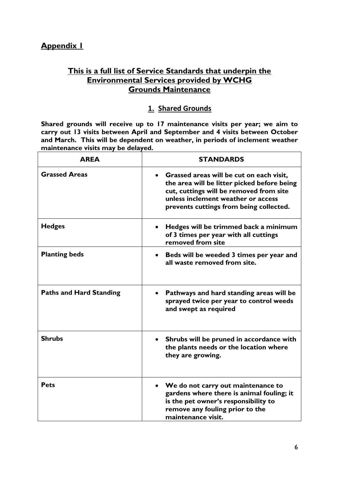# **This is a full list of Service Standards that underpin the Environmental Services provided by WCHG Grounds Maintenance**

# **1. Shared Grounds**

**Shared grounds will receive up to 17 maintenance visits per year; we aim to carry out 13 visits between April and September and 4 visits between October and March. This will be dependent on weather, in periods of inclement weather maintenance visits may be delayed.**

| <b>AREA</b>                    | <b>STANDARDS</b>                                                                                                                                                                                                    |
|--------------------------------|---------------------------------------------------------------------------------------------------------------------------------------------------------------------------------------------------------------------|
| <b>Grassed Areas</b>           | Grassed areas will be cut on each visit,<br>the area will be litter picked before being<br>cut, cuttings will be removed from site<br>unless inclement weather or access<br>prevents cuttings from being collected. |
| <b>Hedges</b>                  | Hedges will be trimmed back a minimum<br>of 3 times per year with all cuttings<br>removed from site                                                                                                                 |
| <b>Planting beds</b>           | Beds will be weeded 3 times per year and<br>all waste removed from site.                                                                                                                                            |
| <b>Paths and Hard Standing</b> | Pathways and hard standing areas will be<br>sprayed twice per year to control weeds<br>and swept as required                                                                                                        |
| <b>Shrubs</b>                  | Shrubs will be pruned in accordance with<br>the plants needs or the location where<br>they are growing.                                                                                                             |
| <b>Pets</b>                    | We do not carry out maintenance to<br>gardens where there is animal fouling; it<br>is the pet owner's responsibility to<br>remove any fouling prior to the<br>maintenance visit.                                    |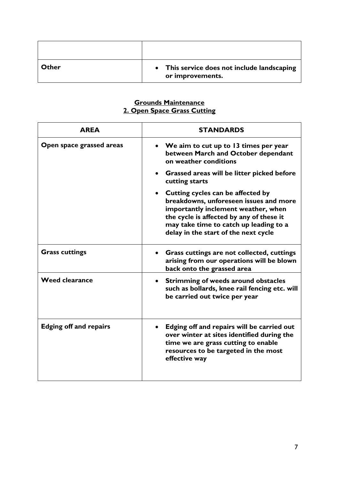| Other | • This service does not include landscaping<br>or improvements. |
|-------|-----------------------------------------------------------------|

#### **Grounds Maintenance 2. Open Space Grass Cutting**

| <b>AREA</b>                   | <b>STANDARDS</b>                                                                                                                                                                                                                                   |
|-------------------------------|----------------------------------------------------------------------------------------------------------------------------------------------------------------------------------------------------------------------------------------------------|
| Open space grassed areas      | We aim to cut up to 13 times per year<br>between March and October dependant<br>on weather conditions                                                                                                                                              |
|                               | Grassed areas will be litter picked before<br>cutting starts                                                                                                                                                                                       |
|                               | • Cutting cycles can be affected by<br>breakdowns, unforeseen issues and more<br>importantly inclement weather, when<br>the cycle is affected by any of these it<br>may take time to catch up leading to a<br>delay in the start of the next cycle |
| <b>Grass cuttings</b>         | Grass cuttings are not collected, cuttings<br>arising from our operations will be blown<br>back onto the grassed area                                                                                                                              |
| <b>Weed clearance</b>         | • Strimming of weeds around obstacles<br>such as bollards, knee rail fencing etc. will<br>be carried out twice per year                                                                                                                            |
| <b>Edging off and repairs</b> | Edging off and repairs will be carried out<br>over winter at sites identified during the<br>time we are grass cutting to enable<br>resources to be targeted in the most<br>effective way                                                           |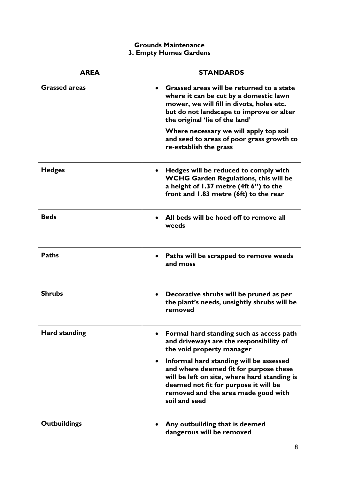# **Grounds Maintenance 3. Empty Homes Gardens**

| <b>AREA</b>          | <b>STANDARDS</b>                                                                                                                                                                                                                   |
|----------------------|------------------------------------------------------------------------------------------------------------------------------------------------------------------------------------------------------------------------------------|
| <b>Grassed areas</b> | Grassed areas will be returned to a state<br>where it can be cut by a domestic lawn<br>mower, we will fill in divots, holes etc.<br>but do not landscape to improve or alter<br>the original 'lie of the land'                     |
|                      | Where necessary we will apply top soil<br>and seed to areas of poor grass growth to<br>re-establish the grass                                                                                                                      |
| <b>Hedges</b>        | Hedges will be reduced to comply with<br><b>WCHG Garden Regulations, this will be</b><br>a height of $1.37$ metre (4ft $6"$ ) to the<br>front and 1.83 metre (6ft) to the rear                                                     |
| <b>Beds</b>          | All beds will be hoed off to remove all<br>weeds                                                                                                                                                                                   |
| <b>Paths</b>         | Paths will be scrapped to remove weeds<br>and moss                                                                                                                                                                                 |
| <b>Shrubs</b>        | Decorative shrubs will be pruned as per<br>the plant's needs, unsightly shrubs will be<br>removed                                                                                                                                  |
| <b>Hard standing</b> | Formal hard standing such as access path<br>and driveways are the responsibility of<br>the void property manager                                                                                                                   |
|                      | Informal hard standing will be assessed<br>and where deemed fit for purpose these<br>will be left on site, where hard standing is<br>deemed not fit for purpose it will be<br>removed and the area made good with<br>soil and seed |
| <b>Outbuildings</b>  | Any outbuilding that is deemed<br>dangerous will be removed                                                                                                                                                                        |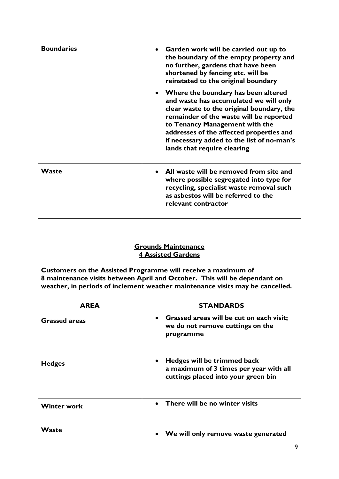| <b>Boundaries</b> | Garden work will be carried out up to<br>the boundary of the empty property and<br>no further, gardens that have been<br>shortened by fencing etc. will be<br>reinstated to the original boundary                                                                                                                                |
|-------------------|----------------------------------------------------------------------------------------------------------------------------------------------------------------------------------------------------------------------------------------------------------------------------------------------------------------------------------|
|                   | Where the boundary has been altered<br>and waste has accumulated we will only<br>clear waste to the original boundary, the<br>remainder of the waste will be reported<br>to Tenancy Management with the<br>addresses of the affected properties and<br>if necessary added to the list of no-man's<br>lands that require clearing |
| Waste             | All waste will be removed from site and<br>where possible segregated into type for<br>recycling, specialist waste removal such<br>as asbestos will be referred to the<br>relevant contractor                                                                                                                                     |

# **Grounds Maintenance 4 Assisted Gardens**

**Customers on the Assisted Programme will receive a maximum of 8 maintenance visits between April and October. This will be dependant on weather, in periods of inclement weather maintenance visits may be cancelled.** 

| <b>AREA</b>          | <b>STANDARDS</b>                                                                                                          |
|----------------------|---------------------------------------------------------------------------------------------------------------------------|
| <b>Grassed areas</b> | Grassed areas will be cut on each visit;<br>$\bullet$<br>we do not remove cuttings on the<br>programme                    |
| <b>Hedges</b>        | Hedges will be trimmed back<br>$\bullet$<br>a maximum of 3 times per year with all<br>cuttings placed into your green bin |
| <b>Winter work</b>   | There will be no winter visits                                                                                            |
| Waste                | We will only remove waste generated                                                                                       |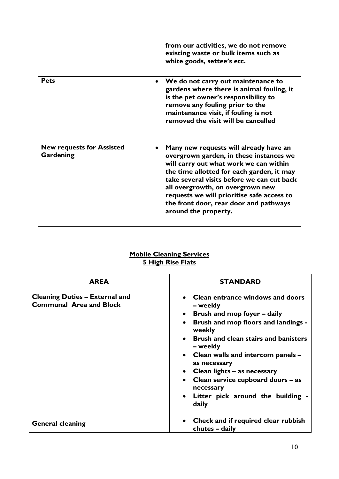|                                               | from our activities, we do not remove<br>existing waste or bulk items such as<br>white goods, settee's etc.                                                                                                                                                                                                                                                                |
|-----------------------------------------------|----------------------------------------------------------------------------------------------------------------------------------------------------------------------------------------------------------------------------------------------------------------------------------------------------------------------------------------------------------------------------|
| <b>Pets</b>                                   | We do not carry out maintenance to<br>gardens where there is animal fouling, it<br>is the pet owner's responsibility to<br>remove any fouling prior to the<br>maintenance visit, if fouling is not<br>removed the visit will be cancelled                                                                                                                                  |
| <b>New requests for Assisted</b><br>Gardening | Many new requests will already have an<br>overgrown garden, in these instances we<br>will carry out what work we can within<br>the time allotted for each garden, it may<br>take several visits before we can cut back<br>all overgrowth, on overgrown new<br>requests we will prioritise safe access to<br>the front door, rear door and pathways<br>around the property. |

## **Mobile Cleaning Services 5 High Rise Flats**

| <b>AREA</b>                                                             | <b>STANDARD</b>                                                                                                                                                                                                                                                                                                                                                                |
|-------------------------------------------------------------------------|--------------------------------------------------------------------------------------------------------------------------------------------------------------------------------------------------------------------------------------------------------------------------------------------------------------------------------------------------------------------------------|
| <b>Cleaning Duties - External and</b><br><b>Communal Area and Block</b> | Clean entrance windows and doors<br>– weekly<br>• Brush and mop foyer $-$ daily<br>Brush and mop floors and landings -<br>weekly<br>• Brush and clean stairs and banisters<br>– weekly<br>• Clean walls and intercom panels –<br>as necessary<br>Clean lights - as necessary<br>• Clean service cupboard doors – as<br>necessary<br>Litter pick around the building -<br>daily |
| <b>General cleaning</b>                                                 | Check and if required clear rubbish<br>chutes – daily                                                                                                                                                                                                                                                                                                                          |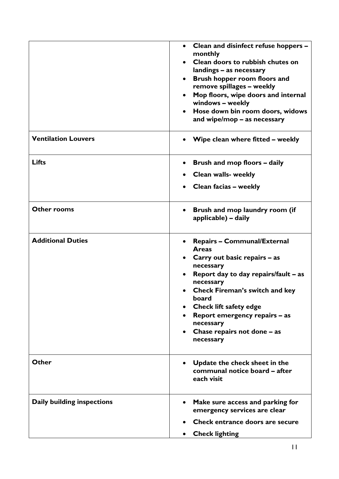|                                   | Clean and disinfect refuse hoppers -<br>monthly<br>Clean doors to rubbish chutes on<br>$\bullet$<br>landings - as necessary<br>Brush hopper room floors and<br>remove spillages - weekly<br>Mop floors, wipe doors and internal<br>windows - weekly<br>Hose down bin room doors, widows<br>and wipe/mop – as necessary                                                   |
|-----------------------------------|--------------------------------------------------------------------------------------------------------------------------------------------------------------------------------------------------------------------------------------------------------------------------------------------------------------------------------------------------------------------------|
| <b>Ventilation Louvers</b>        | Wipe clean where fitted – weekly                                                                                                                                                                                                                                                                                                                                         |
| <b>Lifts</b>                      | Brush and mop floors - daily<br><b>Clean walls- weekly</b><br>Clean facias - weekly                                                                                                                                                                                                                                                                                      |
| <b>Other rooms</b>                | Brush and mop laundry room (if<br>applicable) – daily                                                                                                                                                                                                                                                                                                                    |
| <b>Additional Duties</b>          | <b>Repairs - Communal/External</b><br><b>Areas</b><br>Carry out basic repairs – as<br>necessary<br>Report day to day repairs/fault - as<br>$\bullet$<br>necessary<br><b>Check Fireman's switch and key</b><br>board<br><b>Check lift safety edge</b><br>Report emergency repairs - as<br>$\bullet$<br>necessary<br>Chase repairs not done - as<br>$\bullet$<br>necessary |
| Other                             | Update the check sheet in the<br>communal notice board – after<br>each visit                                                                                                                                                                                                                                                                                             |
| <b>Daily building inspections</b> | Make sure access and parking for<br>emergency services are clear<br>Check entrance doors are secure<br><b>Check lighting</b><br>$\bullet$                                                                                                                                                                                                                                |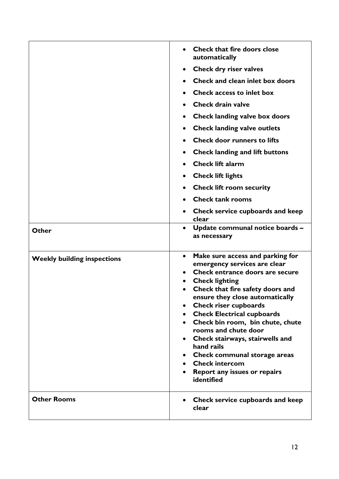| Other                              | <b>Check that fire doors close</b><br>automatically<br>Check dry riser valves<br>Check and clean inlet box doors<br><b>Check access to inlet box</b><br><b>Check drain valve</b><br>Check landing valve box doors<br><b>Check landing valve outlets</b><br>٠<br><b>Check door runners to lifts</b><br><b>Check landing and lift buttons</b><br>٠<br><b>Check lift alarm</b><br><b>Check lift lights</b><br><b>Check lift room security</b><br><b>Check tank rooms</b><br>Check service cupboards and keep<br>clear<br>Update communal notice boards -<br>$\bullet$<br>as necessary |
|------------------------------------|------------------------------------------------------------------------------------------------------------------------------------------------------------------------------------------------------------------------------------------------------------------------------------------------------------------------------------------------------------------------------------------------------------------------------------------------------------------------------------------------------------------------------------------------------------------------------------|
| <b>Weekly building inspections</b> | Make sure access and parking for<br>$\bullet$<br>emergency services are clear<br>Check entrance doors are secure<br><b>Check lighting</b><br>$\bullet$<br>Check that fire safety doors and<br>$\bullet$<br>ensure they close automatically<br><b>Check riser cupboards</b><br><b>Check Electrical cupboards</b><br>Check bin room, bin chute, chute<br>rooms and chute door<br>Check stairways, stairwells and<br>hand rails<br><b>Check communal storage areas</b><br><b>Check intercom</b><br>Report any issues or repairs<br>identified                                         |
| <b>Other Rooms</b>                 | Check service cupboards and keep<br>clear                                                                                                                                                                                                                                                                                                                                                                                                                                                                                                                                          |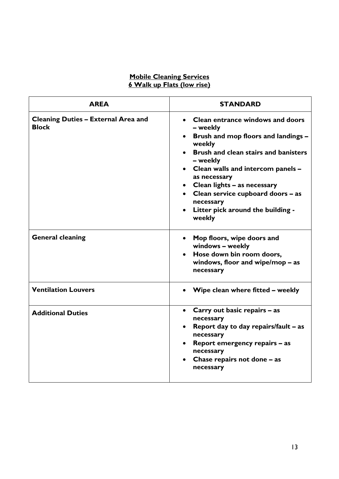# **Mobile Cleaning Services 6 Walk up Flats (low rise)**

| <b>AREA</b>                                                | <b>STANDARD</b>                                                                                                                                                                                                                                                                                                                                                      |
|------------------------------------------------------------|----------------------------------------------------------------------------------------------------------------------------------------------------------------------------------------------------------------------------------------------------------------------------------------------------------------------------------------------------------------------|
| <b>Cleaning Duties - External Area and</b><br><b>Block</b> | <b>Clean entrance windows and doors</b><br>– weekly<br>• Brush and mop floors and landings -<br>weekly<br>• Brush and clean stairs and banisters<br>– weekly<br>• Clean walls and intercom panels -<br>as necessary<br>Clean lights - as necessary<br>$\bullet$<br>• Clean service cupboard doors - as<br>necessary<br>• Litter pick around the building -<br>weekly |
| <b>General cleaning</b>                                    | Mop floors, wipe doors and<br>$\bullet$<br>windows - weekly<br>Hose down bin room doors,<br>windows, floor and wipe/mop $-$ as<br>necessary                                                                                                                                                                                                                          |
| <b>Ventilation Louvers</b>                                 | • Wipe clean where fitted - weekly                                                                                                                                                                                                                                                                                                                                   |
| <b>Additional Duties</b>                                   | Carry out basic repairs - as<br>$\bullet$<br>necessary<br>Report day to day repairs/fault - as<br>$\bullet$<br>necessary<br>Report emergency repairs - as<br>necessary<br>Chase repairs not done - as<br>necessary                                                                                                                                                   |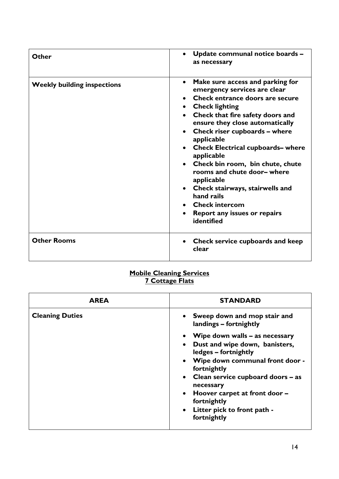| Other                              | Update communal notice boards -<br>$\bullet$<br>as necessary                                                                                                                                                                                                                                                                                                                                                                                                                                                                                                                   |
|------------------------------------|--------------------------------------------------------------------------------------------------------------------------------------------------------------------------------------------------------------------------------------------------------------------------------------------------------------------------------------------------------------------------------------------------------------------------------------------------------------------------------------------------------------------------------------------------------------------------------|
| <b>Weekly building inspections</b> | Make sure access and parking for<br>$\bullet$<br>emergency services are clear<br>Check entrance doors are secure<br>• Check lighting<br>Check that fire safety doors and<br>ensure they close automatically<br>Check riser cupboards - where<br>$\bullet$<br>applicable<br><b>Check Electrical cupboards- where</b><br>$\bullet$<br>applicable<br>• Check bin room, bin chute, chute<br>rooms and chute door- where<br>applicable<br>Check stairways, stairwells and<br>$\bullet$<br>hand rails<br>• Check intercom<br>Report any issues or repairs<br>$\bullet$<br>identified |
| <b>Other Rooms</b>                 | Check service cupboards and keep<br>$\bullet$<br>clear                                                                                                                                                                                                                                                                                                                                                                                                                                                                                                                         |

# **Mobile Cleaning Services 7 Cottage Flats**

| AREA                   | <b>STANDARD</b>                                          |
|------------------------|----------------------------------------------------------|
| <b>Cleaning Duties</b> | • Sweep down and mop stair and<br>landings – fortnightly |
|                        | Wipe down walls – as necessary                           |
|                        | Dust and wipe down, banisters,<br>ledges – fortnightly   |
|                        | • Wipe down communal front door -<br>fortnightly         |
|                        | • Clean service cupboard doors – as<br>necessary         |
|                        | • Hoover carpet at front door -<br>fortnightly           |
|                        | • Litter pick to front path -                            |
|                        | fortnightly                                              |